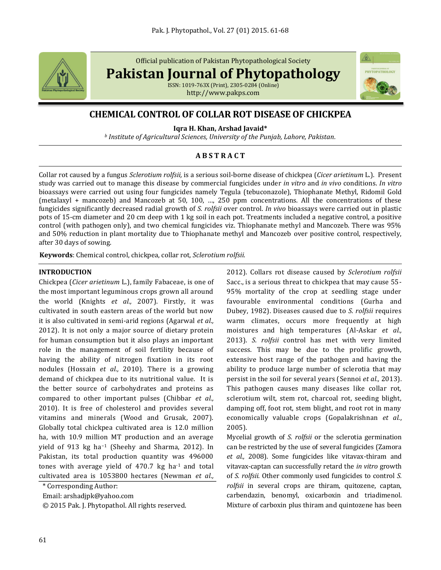

Official publication of Pakistan Phytopathological Society

**Pakistan Journal of Phytopathology**

ISSN: 1019-763X (Print), 2305-0284 (Online) http://www.pakps.com



# **CHEMICAL CONTROL OF COLLAR ROT DISEASE OF CHICKPEA**

**Iqra H. Khan, Arshad Javaid\***

*<sup>b</sup> Institute of Agricultural Sciences, University of the Punjab, Lahore, Pakistan.*

# **A B S T R A C T**

Collar rot caused by a fungus *Sclerotium rolfsii,* is a serious soil-borne disease of chickpea (*Cicer arietinum* L.). Present study was carried out to manage this disease by commercial fungicides under *in vitro* and *in vivo* conditions. *In vitro* bioassays were carried out using four fungicides namely Tegula (tebuconazole), Thiophanate Methyl, Ridomil Gold (metalaxyl + mancozeb) and Mancozeb at 50, 100, …, 250 ppm concentrations. All the concentrations of these fungicides significantly decreased radial growth of *S. rolfsii* over control. *In vivo* bioassays were carried out in plastic pots of 15-cm diameter and 20 cm deep with 1 kg soil in each pot. Treatments included a negative control, a positive control (with pathogen only), and two chemical fungicides viz. Thiophanate methyl and Mancozeb. There was 95% and 50% reduction in plant mortality due to Thiophanate methyl and Mancozeb over positive control, respectively, after 30 days of sowing.

**Keywords**: Chemical control, chickpea, collar rot, *Sclerotium rolfsii.*

#### **INTRODUCTION**

Chickpea (*Cicer arietinum* L.), family Fabaceae, is one of the most important leguminous crops grown all around the world (Knights *et al.,* 2007). Firstly, it was cultivated in south eastern areas of the world but now it is also cultivated in semi-arid regions (Agarwal *et al.,* 2012). It is not only a major source of dietary protein for human consumption but it also plays an important role in the management of soil fertility because of having the ability of nitrogen fixation in its root nodules (Hossain *et al.,* 2010). There is a growing demand of chickpea due to its nutritional value. It is the better source of carbohydrates and proteins as compared to other important pulses (Chibbar *et al.,* 2010). It is free of cholesterol and provides several vitamins and minerals (Wood and Grusak, 2007). Globally total chickpea cultivated area is 12.0 million ha, with 10.9 million MT production and an average yield of 913 kg ha−<sup>1</sup> (Sheehy and Sharma, 2012). In Pakistan, its total production quantity was 496000 tones with average yield of  $470.7$  kg ha<sup>-1</sup> and total cultivated area is 1053800 hectares (Newman *et al.,*

\* Corresponding Author:

Email: arshadjpk@yahoo.com

© 2015 Pak. J. Phytopathol. All rights reserved.

2012). Collars rot disease caused by *Sclerotium rolfsii*  Sacc., is a serious threat to chickpea that may cause 55- 95% mortality of the crop at seedling stage under favourable environmental conditions (Gurha and Dubey, 1982). Diseases caused due to *S. rolfsii* requires warm climates, occurs more frequently at high moistures and high temperatures (Al-Askar *et al.,* 2013). *S. rolfsii* control has met with very limited success. This may be due to the prolific growth, extensive host range of the pathogen and having the ability to produce large number of sclerotia that may persist in the soil for several years (Sennoi *et al.,* 2013). This pathogen causes many diseases like collar rot, sclerotium wilt, stem rot, charcoal rot, seeding blight, damping off, foot rot, stem blight, and root rot in many economically valuable crops [\(Gopalakrishnan](#page-6-0) *et al.*, [2005\)](#page-6-0).

Mycelial growth of *S. rolfsii* or the sclerotia germination can be restricted by the use of several fungicides (Zamora *et al.,* 2008). Some fungicides like vitavax-thiram and vitavax-captan can successfully retard the *in vitro* growth of *S. rolfsii*. Other commonly used fungicides to control *S. rolfsii* in several crops are thiram, quitozene, captan, carbendazin, benomyl, oxicarboxin and triadimenol. Mixture of carboxin plus thiram and quintozene has been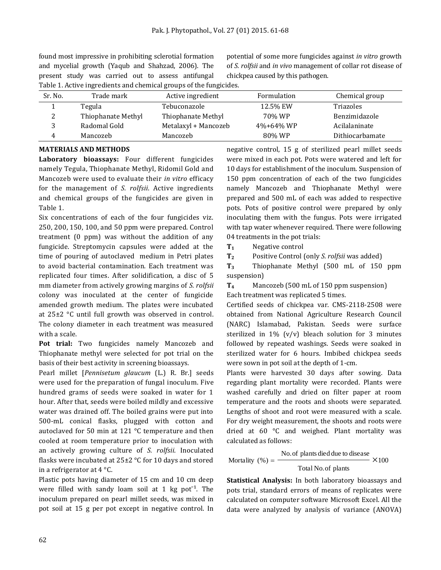found most impressive in prohibiting sclerotial formation and mycelial growth (Yaqub and Shahzad, 2006). The present study was carried out to assess antifungal Table 1. Active ingredients and chemical groups of the fungicides.

potential of some more fungicides against *in vitro* growth of *S. rolfsii* and *in vivo* management of collar rot disease of chickpea caused by this pathogen.

| Table 1. Active high calculus and chemical groups of the rangicates. |                    |                      |                 |                 |
|----------------------------------------------------------------------|--------------------|----------------------|-----------------|-----------------|
| Sr. No.                                                              | Trade mark         | Active ingredient    | Formulation     | Chemical group  |
|                                                                      | Tegula             | Tebuconazole         | 12.5% EW        | Triazoles       |
| ∸                                                                    | Thiophanate Methyl | Thiophanate Methyl   | 70% WP          | Benzimidazole   |
|                                                                      | Radomal Gold       | Metalaxyl + Mancozeb | $4\% + 64\%$ WP | Acilalaninate   |
| 4                                                                    | Mancozeb           | Mancozeb             | 80% WP          | Dithiocarbamate |

#### **MATERIALS AND METHODS**

**Laboratory bioassays:** Four different fungicides namely Tegula, Thiophanate Methyl, Ridomil Gold and Mancozeb were used to evaluate their *in vitro* efficacy for the management of *S. rolfsii*. Active ingredients and chemical groups of the fungicides are given in Table 1.

Six concentrations of each of the four fungicides viz. 250, 200, 150, 100, and 50 ppm were prepared. Control treatment (0 ppm) was without the addition of any fungicide. Streptomycin capsules were added at the time of pouring of autoclaved medium in Petri plates to avoid bacterial contamination. Each treatment was replicated four times. After solidification, a disc of 5 mm diameter from actively growing margins of *S. rolfsii* colony was inoculated at the center of fungicide amended growth medium. The plates were incubated at 25±2 °C until full growth was observed in control. The colony diameter in each treatment was measured with a scale.

**Pot trial:** Two fungicides namely Mancozeb and Thiophanate methyl were selected for pot trial on the basis of their best activity in screening bioassays.

Pearl millet [*Pennisetum glaucum* [\(L.\)](http://en.wikipedia.org/wiki/Carolus_Linnaeus) [R. Br.\]](http://en.wikipedia.org/wiki/Robert_Brown_(botanist)) seeds were used for the preparation of fungal inoculum. Five hundred grams of seeds were soaked in water for 1 hour. After that, seeds were boiled mildly and excessive water was drained off. The boiled grains were put into 500-mL conical flasks, plugged with cotton and autoclaved for 50 min at 121 °C temperature and then cooled at room temperature prior to inoculation with an actively growing culture of *S. rolfsii*. Inoculated flasks were incubated at 25±2 °C for 10 days and stored in a refrigerator at 4 °C.

Plastic pots having diameter of 15 cm and 10 cm deep were filled with sandy loam soil at 1 kg pot<sup>-1</sup>. The inoculum prepared on pearl millet seeds, was mixed in pot soil at 15 g per pot except in negative control. In negative control, 15 g of sterilized pearl millet seeds were mixed in each pot. Pots were watered and left for 10 days for establishment of the inoculum. Suspension of 150 ppm concentration of each of the two fungicides namely Mancozeb and Thiophanate Methyl were prepared and 500 mL of each was added to respective pots. Pots of positive control were prepared by only inoculating them with the fungus. Pots were irrigated with tap water whenever required. There were following 04 treatments in the pot trials:

**T<sup>1</sup>** Negative control

**T<sup>2</sup>** Positive Control (only *S. rolfsii* was added)

**T<sup>3</sup>** Thiophanate Methyl (500 mL of 150 ppm suspension)

**T<sup>4</sup>** Mancozeb (500 mL of 150 ppm suspension)

Each treatment was replicated 5 times.

Certified seeds of chickpea var. CMS-2118-2508 were obtained from National Agriculture Research Council (NARC) Islamabad, Pakistan. Seeds were surface sterilized in 1% (v/v) bleach solution for 3 minutes followed by repeated washings. Seeds were soaked in sterilized water for 6 hours. Imbibed chickpea seeds were sown in pot soil at the depth of 1-cm.

Plants were harvested 30 days after sowing. Data regarding plant mortality were recorded. Plants were washed carefully and dried on filter paper at room temperature and the roots and shoots were separated. Lengths of shoot and root were measured with a scale. For dry weight measurement, the shoots and roots were dried at 60 °C and weighed. Plant mortality was calculated as follows:

Mortality (
$$
%
$$
) =  $\frac{\text{No. of plants died due to disease}}{\text{Total No. of plants}}$  × 100

**Statistical Analysis:** In both laboratory bioassays and pots trial, standard errors of means of replicates were calculated on computer software Microsoft Excel. All the data were analyzed by analysis of variance (ANOVA)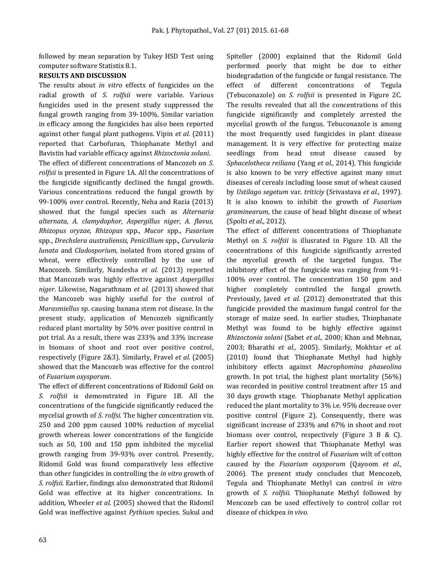followed by mean separation by Tukey HSD Test using computer software Statistix 8.1.

## **RESULTS AND DISCUSSION**

The results about *in vitro* effects of fungicides on the radial growth of *S. rolfsii* were variable. Various fungicides used in the present study suppressed the fungal growth ranging from 39-100%. Similar variation in efficacy among the fungicides has also been reported against other fungal plant pathogens. Vipin *et al.* (2011) reported that Carbofuran, Thiophanate Methyl and Bavistin had variable efficacy against *Rhizoctonia solani*.

The effect of different concentrations of Mancozeb on *S. rolfsii* is presented in Figure 1A. All the concentrations of the fungicide significantly declined the fungal growth. Various concentrations reduced the fungal growth by 99-100% over control. Recently, Neha and Razia (2013) showed that the fungal species such as *Alternaria alternata, A. clamydophor, Aspergillus niger, A. flavus, Rhizopus oryzae, Rhizopus* spp., *Mucor* spp., *Fusarium*  spp., *Drechslera australiensis, Penicillium* spp., *Curvularia lunata* and *Cladosporium,* isolated from stored grains of wheat, were effectively controlled by the use of Mancozeb. Similarly, Nandesha *et al.* (2013) reported that Mancozeb was highly effective against *Aspergillus niger*. Likewise, Nagarathnam *et al.* (2013) showed that the Mancozeb was highly useful for the control of *Marasmiellus* sp. causing banana stem rot disease. In the present study, application of Mencozeb significantly reduced plant mortality by 50% over positive control in pot trial. As a result, there was 233% and 33% increase in biomass of shoot and root over positive control, respectively (Figure 2&3). Similarly, Fravel *et al.* (2005) showed that the Mancozeb was effective for the control of *Fusarium oxysporum*.

The effect of different concentrations of Ridomil Gold on *S. rolfsii* is demonstrated in Figure 1B. All the concentrations of the fungicide significantly reduced the mycelial growth of *S. rolfsi.* The higher concentration viz. 250 and 200 ppm caused 100% reduction of mycelial growth whereas lower concentrations of the fungicide such as 50, 100 and 150 ppm inhibited the mycelial growth ranging from 39-93% over control. Presently, Ridomil Gold was found comparatively less effective than other fungicides in controlling the *in vitro* growth of *S. rolfsii.* Earlier, findings also demonstrated that Ridomil Gold was effective at its higher concentrations. In addition, Wheeler *et al.* (2005) showed that the Ridomil Gold was ineffective against *Pythium* species. Sukul and Spiteller (2000) explained that the Ridomil Gold performed poorly that might be due to either biodegradation of the fungicide or fungal resistance. The effect of different concentrations of Tegula (Tebuconazole) on *S. rolfsii* is presented in Figure 2C. The results revealed that all the concentrations of this fungicide significantly and completely arrested the mycelial growth of the fungus. Tebuconazole is among the most frequently used fungicides in plant disease management. It is very effective for protecting maize seedlings from head smut disease caused by *Sphacelotheca reiliana* (Yang *et al.,* 2014). This fungicide is also known to be very effective against many smut diseases of cereals including loose smut of wheat caused by *Ustilago segetum* var. *triticiy* (Srivastava *et al.,* 1997). It is also known to inhibit the growth of *Fusarium graminearum,* the cause of head blight disease of wheat (Spolti *et al.,* 2012).

The effect of different concentrations of Thiophanate Methyl on *S. rolfsii* is illusrated in Figure 1D. All the concentrations of this fungicide significantly arrested the mycelial growth of the targeted fungus. The inhibitory effect of the fungicide was ranging from 91- 100% over control. The concentration 150 ppm and higher completely controlled the fungal growth. Previously, Javed *et al.* (2012) demonstrated that this fungicide provided the maximum fungal control for the storage of maize seed. In earlier studies, Thiophanate Methyl was found to be highly effective against *Rhizoctonia solani* (Sabet *et al.,* 2000; Khan and Mehnaz, 2003; Bharathi *et al.,* 2005). Similarly, Mokhtar *et al.* (2010) found that Thiophanate Methyl had highly inhibitory effects against *Macrophomina phaseolina*  growth. In pot trial, the highest plant mortality (56%) was recorded in positive control treatment after 15 and 30 days growth stage. Thiophanate Methyl application reduced the plant mortality to 3% i.e. 95% decrease over positive control (Figure 2). Consequently, there was significant increase of 233% and 67% in shoot and root biomass over control, respectively (Figure 3 B & C). Earlier report showed that Thiophanate Methyl was highly effective for the control of *Fusarium* wilt of cotton caused by the *Fusarium oxysporum* (Qayoom *et al.,*  2006). The present study concludes that Mencozeb, Tegula and Thiophanate Methyl can control *in vitro* growth of *S. rolfsii.* Thiophanate Methyl followed by Mencozeb can be used effectively to control collar rot disease of chickpea *in vivo.*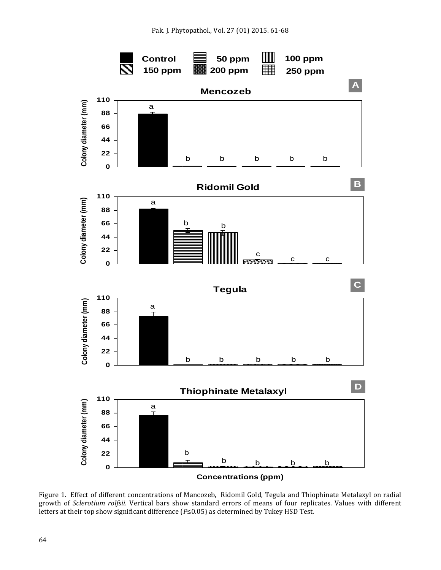

Figure 1. Effect of different concentrations of Mancozeb, Ridomil Gold, Tegula and Thiophinate Metalaxyl on radial growth of *Sclerotium rolfsii*. Vertical bars show standard errors of means of four replicates. Values with different letters at their top show significant difference (*P*≤0.05) as determined by Tukey HSD Test.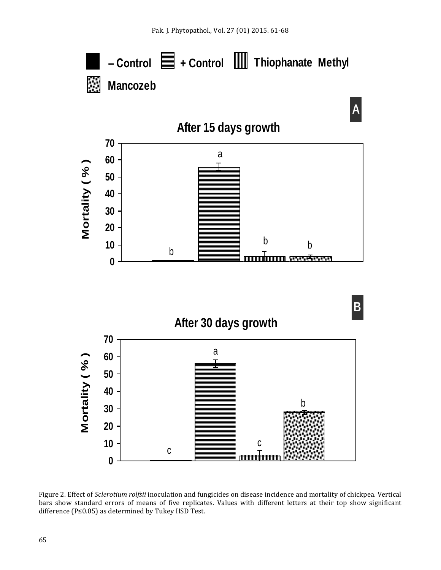

Figure 2. Effect of *Sclerotium rolfsii* inoculation and fungicides on disease incidence and mortality of chickpea. Vertical bars show standard errors of means of five replicates. Values with different letters at their top show significant difference (P≤0.05) as determined by Tukey HSD Test.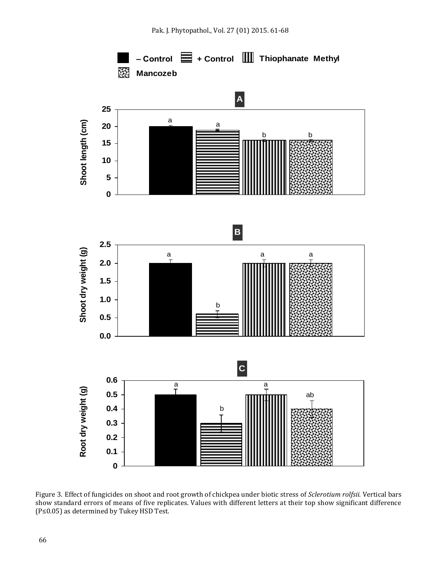

Figure 3. Effect of fungicides on shoot and root growth of chickpea under biotic stress of *Sclerotium rolfsii.* Vertical bars show standard errors of means of five replicates. Values with different letters at their top show significant difference (P≤0.05) as determined by Tukey HSD Test.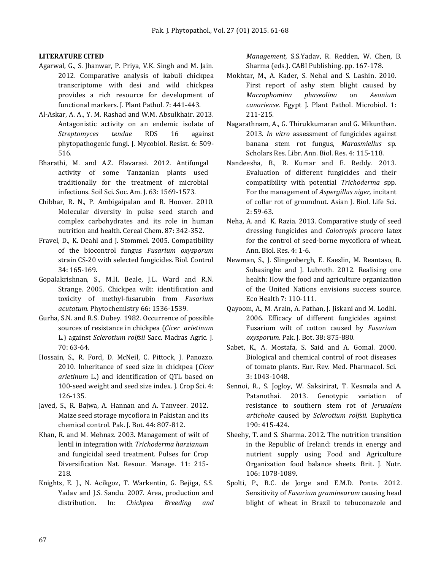## **LITERATURE CITED**

- Agarwal, G., S. Jhanwar, P. Priya, V.K. Singh and M. Jain. 2012. Comparative analysis of kabuli chickpea transcriptome with desi and wild chickpea provides a rich resource for development of functional markers. J. Plant Pathol. 7: 441-443.
- Al-Askar, A. A., Y. M. Rashad and W.M. Absulkhair. 2013. Antagonistic activity on an endemic isolate of *Streptomyces tendae* RDS 16 against phytopathogenic fungi. J. Mycobiol. Resist. 6: 509- 516.
- Bharathi, M. and A.Z. Elavarasi. 2012. Antifungal activity of some Tanzanian plants used traditionally for the treatment of microbial infections. Soil Sci. Soc. Am. J. 63: 1569-1573.
- Chibbar, R. N., P. Ambigaipalan and R. Hoover. 2010. Molecular diversity in pulse seed starch and complex carbohydrates and its role in human nutrition and health. Cereal Chem. 87: 342-352.
- Fravel, D., K. Deahl and J. Stommel. 2005. Compatibility of the biocontrol fungus *Fusarium oxysporum*  strain CS-20 with selected fungicides. Biol. Control 34: 165-169.
- <span id="page-6-0"></span>Gopalakrishnan, S., M.H. Beale, J.L. Ward and R.N. Strange. 2005. Chickpea wilt: identification and toxicity of methyl-fusarubin from *Fusarium acutatum*. Phytochemistry 66: 1536-1539.
- Gurha, S.N. and R.S. Dubey. 1982. Occurrence of possible sources of resistance in chickpea (*Cicer arietinum*  L.) against *Sclerotium rolfsii* Sacc. Madras Agric. J. 70: 63-64.
- Hossain, S., R. Ford, D. McNeil, C. Pittock, J. Panozzo. 2010. Inheritance of seed size in chickpea (*Cicer arietinum* L.) and identification of QTL based on 100-seed weight and seed size index. J. Crop Sci. 4: 126-135.
- Javed, S., R. Bajwa, A. Hannan and A. Tanveer. 2012. Maize seed storage mycoflora in Pakistan and its chemical control. Pak. J. Bot. 44: 807-812.
- Khan, R. and M. Mehnaz. 2003. Management of wilt of lentil in integration with *Trichoderma harzianum*  and fungicidal seed treatment. Pulses for Crop Diversification Nat. Resour. Manage*.* 11: 215- 218.
- Knights, E. J., N. Acikgoz, T. Warkentin, G. Bejiga, S.S. Yadav and J.S. Sandu. 2007. Area, production and distribution. In: *Chickpea Breeding and*

*Management,* S.S.Yadav, R. Redden, W. Chen, B. Sharma (eds.)*.* CABI Publishing. pp. 167-178.

- Mokhtar, M., A. Kader, S. Nehal and S. Lashin. 2010. First report of ashy stem blight caused by *Macrophomina phaseolina* on *Aeonium canariense.* Egypt J. Plant Pathol. Microbiol*.* 1: 211-215.
- Nagarathnam, A., G. Thirukkumaran and G. Mikunthan. 2013. *In vitro* assessment of fungicides against banana stem rot fungus, *Marasmiellus* sp. Scholars Res. Libr. Ann. Biol. Res. 4: 115-118.
- Nandeesha, B., R. Kumar and E. Reddy. 2013. Evaluation of different fungicides and their compatibility with potential *Trichoderma* spp. For the management of *Aspergillus niger,* incitant of collar rot of groundnut. Asian J. Biol. Life Sci. 2: 59-63.
- Neha, A. and K. Razia. 2013. Comparative study of seed dressing fungicides and *Calotropis procera* latex for the control of seed-borne mycoflora of wheat. Ann. Biol. Res. 4: 1-6.
- Newman, S., J. Slingenbergh, E. Kaeslin, M. Reantaso, R. Subasinghe and J. Lubroth. 2012. Realising one health: How the food and agriculture organization of the United Nations envisions success source. Eco Health 7: 110-111.
- Qayoom, A., M. Arain, A. Pathan, J. Jiskani and M. Lodhi. 2006. Efficacy of different fungicides against Fusarium wilt of cotton caused by *Fusarium oxysporum*. Pak. J. Bot. 38: 875-880.
- Sabet, K., A. Mostafa, S. Said and A. Gomal. 2000. Biological and chemical control of root diseases of tomato plants. Eur. Rev. Med. Pharmacol. Sci. 3: 1043-1048.
- Sennoi, R., S. Jogloy, W. Saksirirat, T. Kesmala and A. Patanothai. 2013. Genotypic variation of resistance to southern stem rot of *Jerusalem artichoke* caused by *Sclerotium rolfsii.* Euphytica 190: 415-424.
- Sheehy, T. and S. Sharma. 2012. The nutrition transition in the Republic of Ireland: trends in energy and nutrient supply using Food and Agriculture Organization food balance sheets. Brit. J. Nutr. 106: 1078-1089.
- Spolti, P., B.C. de Jorge and E.M.D. Ponte. 2012. Sensitivity of *Fusarium graminearum* causing head blight of wheat in Brazil to tebuconazole and